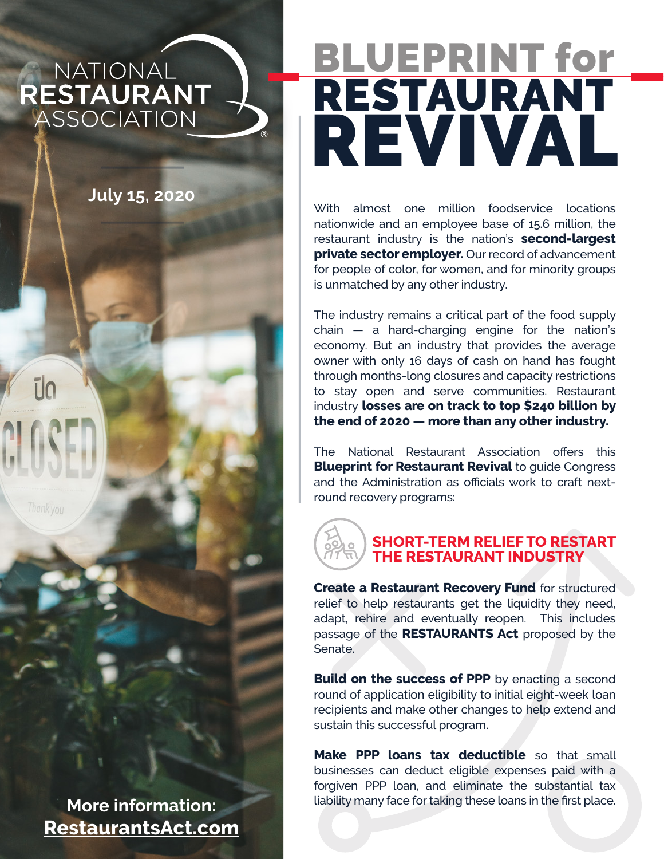NATIONAL RESTAURANT **ASSOCIATION** 

**July 15, 2020**

ūn

**More information: [RestaurantsAct.](http://www.RestaurantsAct.com)com**

# BLUEPRINT for RESTAURANT REVIVAL

With almost one million foodservice locations nationwide and an employee base of 15.6 million, the restaurant industry is the nation's **second-largest private sector employer.** Our record of advancement for people of color, for women, and for minority groups is unmatched by any other industry.

The industry remains a critical part of the food supply  $chain - a$  hard-charging engine for the nation's economy. But an industry that provides the average owner with only 16 days of cash on hand has fought through months-long closures and capacity restrictions to stay open and serve communities. Restaurant industry **losses are on track to top \$240 billion by the end of 2020 — more than any other industry.**

The National Restaurant Association offers this **Blueprint for Restaurant Revival to quide Congress** and the Administration as officials work to craft nextround recovery programs:

> **SHORT-TERM RELIEF TO RESTART THE RESTAURANT INDUSTRY**

**Create a Restaurant Recovery Fund for structured** relief to help restaurants get the liquidity they need, adapt, rehire and eventually reopen. This includes passage of the **RESTAURANTS Act** proposed by the Senate.

**Build on the success of PPP** by enacting a second round of application eligibility to initial eight-week loan recipients and make other changes to help extend and sustain this successful program.

**Make PPP loans tax deductible** so that small businesses can deduct eligible expenses paid with a forgiven PPP loan, and eliminate the substantial tax liability many face for taking these loans in the first place.